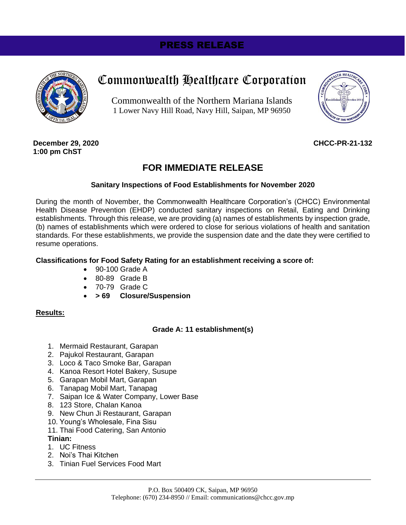## PRESS RELEASE



# Commonwealth Healthcare Corporation

Commonwealth of the Northern Mariana Islands 1 Lower Navy Hill Road, Navy Hill, Saipan, MP 96950



**December 29, 2020 1:00 pm ChST**

#### **CHCC-PR-21-132**

### **FOR IMMEDIATE RELEASE**

#### **Sanitary Inspections of Food Establishments for November 2020**

During the month of November, the Commonwealth Healthcare Corporation's (CHCC) Environmental Health Disease Prevention (EHDP) conducted sanitary inspections on Retail, Eating and Drinking establishments. Through this release, we are providing (a) names of establishments by inspection grade, (b) names of establishments which were ordered to close for serious violations of health and sanitation standards. For these establishments, we provide the suspension date and the date they were certified to resume operations.

#### **Classifications for Food Safety Rating for an establishment receiving a score of:**

- 90-100 Grade A
- 80-89 Grade B
- 70-79 Grade C
- **> 69 Closure/Suspension**

#### **Results:**

#### **Grade A: 11 establishment(s)**

- 1. Mermaid Restaurant, Garapan
- 2. Pajukol Restaurant, Garapan
- 3. Loco & Taco Smoke Bar, Garapan
- 4. Kanoa Resort Hotel Bakery, Susupe
- 5. Garapan Mobil Mart, Garapan
- 6. Tanapag Mobil Mart, Tanapag
- 7. Saipan Ice & Water Company, Lower Base
- 8. 123 Store, Chalan Kanoa
- 9. New Chun Ji Restaurant, Garapan
- 10. Young's Wholesale, Fina Sisu
- 11. Thai Food Catering, San Antonio

#### **Tinian:**

- 1. UC Fitness
- 2. Noi's Thai Kitchen
- 3. Tinian Fuel Services Food Mart